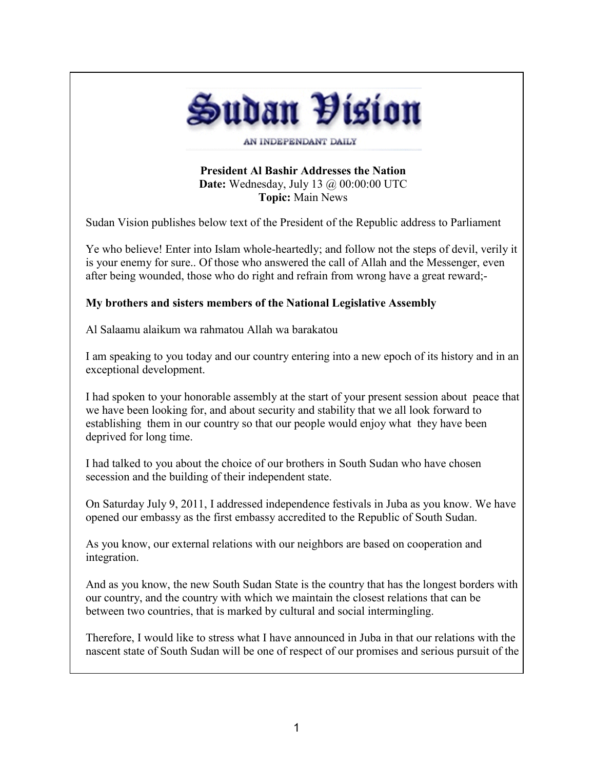

**President Al Bashir Addresses the Nation**

**Date:** Wednesday, July 13 @ 00:00:00 UTC **Topic:** Main News

Sudan Vision publishes below text of the President of the Republic address to Parliament

Ye who believe! Enter into Islam whole-heartedly; and follow not the steps of devil, verily it is your enemy for sure.. Of those who answered the call of Allah and the Messenger, even after being wounded, those who do right and refrain from wrong have a great reward;-

## **My brothers and sisters members of the National Legislative Assembly**

Al Salaamu alaikum wa rahmatou Allah wa barakatou

I am speaking to you today and our country entering into a new epoch of its history and in an exceptional development.

I had spoken to your honorable assembly at the start of your present session about peace that we have been looking for, and about security and stability that we all look forward to establishing them in our country so that our people would enjoy what they have been deprived for long time.

I had talked to you about the choice of our brothers in South Sudan who have chosen secession and the building of their independent state.

On Saturday July 9, 2011, I addressed independence festivals in Juba as you know. We have opened our embassy as the first embassy accredited to the Republic of South Sudan.

As you know, our external relations with our neighbors are based on cooperation and integration.

And as you know, the new South Sudan State is the country that has the longest borders with our country, and the country with which we maintain the closest relations that can be between two countries, that is marked by cultural and social intermingling.

Therefore, I would like to stress what I have announced in Juba in that our relations with the nascent state of South Sudan will be one of respect of our promises and serious pursuit of the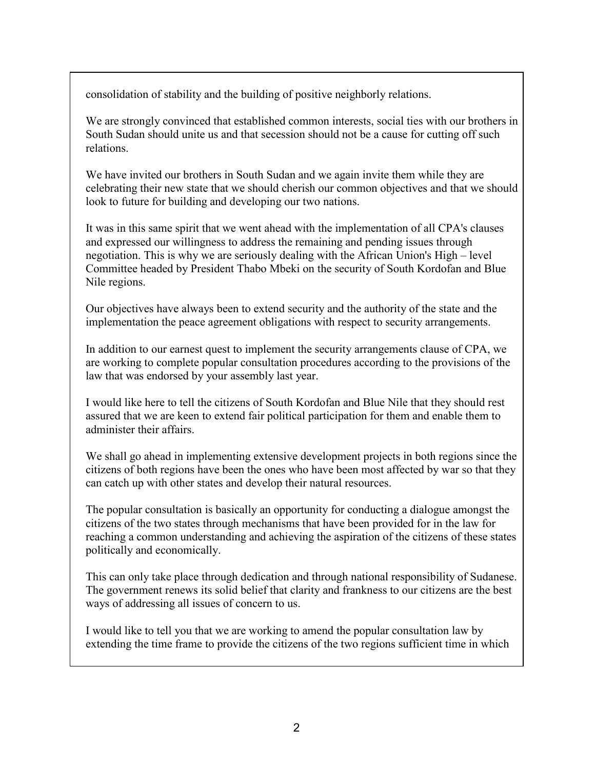consolidation of stability and the building of positive neighborly relations.

We are strongly convinced that established common interests, social ties with our brothers in South Sudan should unite us and that secession should not be a cause for cutting off such relations.

We have invited our brothers in South Sudan and we again invite them while they are celebrating their new state that we should cherish our common objectives and that we should look to future for building and developing our two nations.

It was in this same spirit that we went ahead with the implementation of all CPA's clauses and expressed our willingness to address the remaining and pending issues through negotiation. This is why we are seriously dealing with the African Union's High – level Committee headed by President Thabo Mbeki on the security of South Kordofan and Blue Nile regions.

Our objectives have always been to extend security and the authority of the state and the implementation the peace agreement obligations with respect to security arrangements.

In addition to our earnest quest to implement the security arrangements clause of CPA, we are working to complete popular consultation procedures according to the provisions of the law that was endorsed by your assembly last year.

I would like here to tell the citizens of South Kordofan and Blue Nile that they should rest assured that we are keen to extend fair political participation for them and enable them to administer their affairs.

We shall go ahead in implementing extensive development projects in both regions since the citizens of both regions have been the ones who have been most affected by war so that they can catch up with other states and develop their natural resources.

The popular consultation is basically an opportunity for conducting a dialogue amongst the citizens of the two states through mechanisms that have been provided for in the law for reaching a common understanding and achieving the aspiration of the citizens of these states politically and economically.

This can only take place through dedication and through national responsibility of Sudanese. The government renews its solid belief that clarity and frankness to our citizens are the best ways of addressing all issues of concern to us.

I would like to tell you that we are working to amend the popular consultation law by extending the time frame to provide the citizens of the two regions sufficient time in which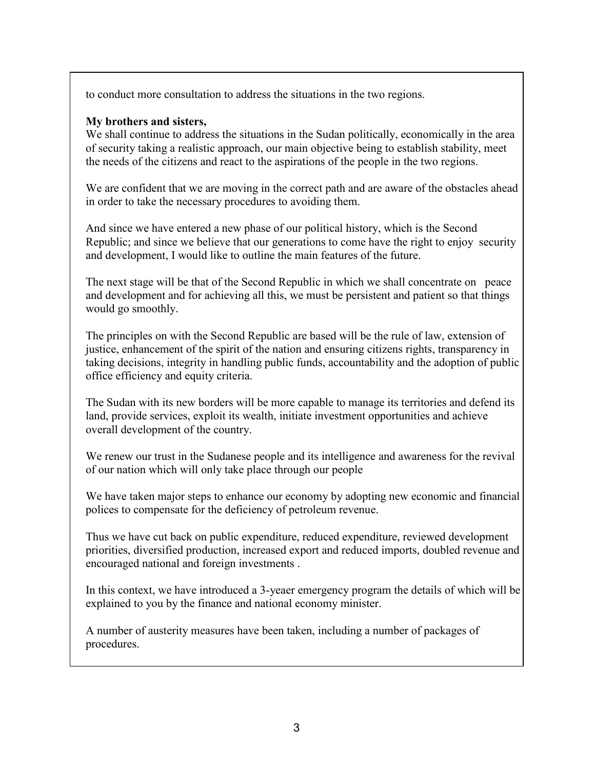to conduct more consultation to address the situations in the two regions.

## **My brothers and sisters,**

We shall continue to address the situations in the Sudan politically, economically in the area of security taking a realistic approach, our main objective being to establish stability, meet the needs of the citizens and react to the aspirations of the people in the two regions.

We are confident that we are moving in the correct path and are aware of the obstacles ahead in order to take the necessary procedures to avoiding them.

And since we have entered a new phase of our political history, which is the Second Republic; and since we believe that our generations to come have the right to enjoy security and development, I would like to outline the main features of the future.

The next stage will be that of the Second Republic in which we shall concentrate on peace and development and for achieving all this, we must be persistent and patient so that things would go smoothly.

The principles on with the Second Republic are based will be the rule of law, extension of justice, enhancement of the spirit of the nation and ensuring citizens rights, transparency in taking decisions, integrity in handling public funds, accountability and the adoption of public office efficiency and equity criteria.

The Sudan with its new borders will be more capable to manage its territories and defend its land, provide services, exploit its wealth, initiate investment opportunities and achieve overall development of the country.

We renew our trust in the Sudanese people and its intelligence and awareness for the revival of our nation which will only take place through our people

We have taken major steps to enhance our economy by adopting new economic and financial polices to compensate for the deficiency of petroleum revenue.

Thus we have cut back on public expenditure, reduced expenditure, reviewed development priorities, diversified production, increased export and reduced imports, doubled revenue and encouraged national and foreign investments .

In this context, we have introduced a 3-yeaer emergency program the details of which will be explained to you by the finance and national economy minister.

A number of austerity measures have been taken, including a number of packages of procedures.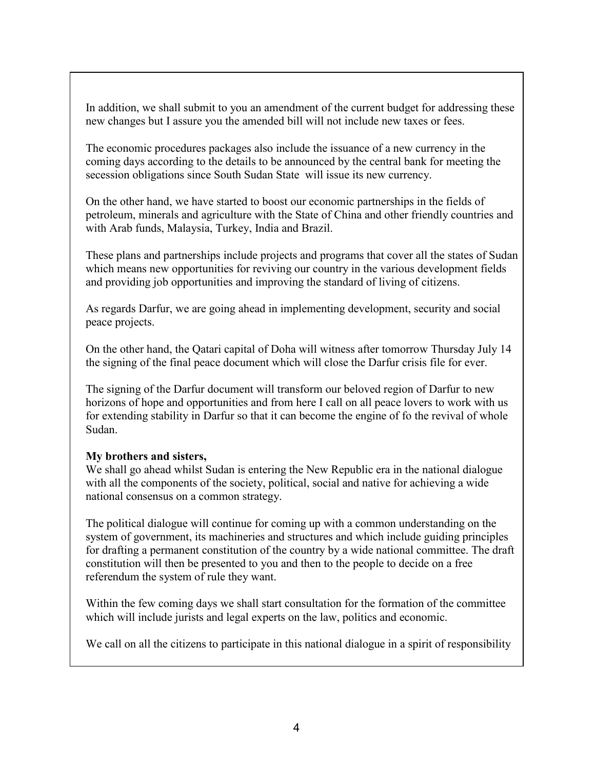In addition, we shall submit to you an amendment of the current budget for addressing these new changes but I assure you the amended bill will not include new taxes or fees.

The economic procedures packages also include the issuance of a new currency in the coming days according to the details to be announced by the central bank for meeting the secession obligations since South Sudan State will issue its new currency.

On the other hand, we have started to boost our economic partnerships in the fields of petroleum, minerals and agriculture with the State of China and other friendly countries and with Arab funds, Malaysia, Turkey, India and Brazil.

These plans and partnerships include projects and programs that cover all the states of Sudan which means new opportunities for reviving our country in the various development fields and providing job opportunities and improving the standard of living of citizens.

As regards Darfur, we are going ahead in implementing development, security and social peace projects.

On the other hand, the Qatari capital of Doha will witness after tomorrow Thursday July 14 the signing of the final peace document which will close the Darfur crisis file for ever.

The signing of the Darfur document will transform our beloved region of Darfur to new horizons of hope and opportunities and from here I call on all peace lovers to work with us for extending stability in Darfur so that it can become the engine of fo the revival of whole Sudan.

## **My brothers and sisters,**

We shall go ahead whilst Sudan is entering the New Republic era in the national dialogue with all the components of the society, political, social and native for achieving a wide national consensus on a common strategy.

The political dialogue will continue for coming up with a common understanding on the system of government, its machineries and structures and which include guiding principles for drafting a permanent constitution of the country by a wide national committee. The draft constitution will then be presented to you and then to the people to decide on a free referendum the system of rule they want.

Within the few coming days we shall start consultation for the formation of the committee which will include jurists and legal experts on the law, politics and economic.

We call on all the citizens to participate in this national dialogue in a spirit of responsibility